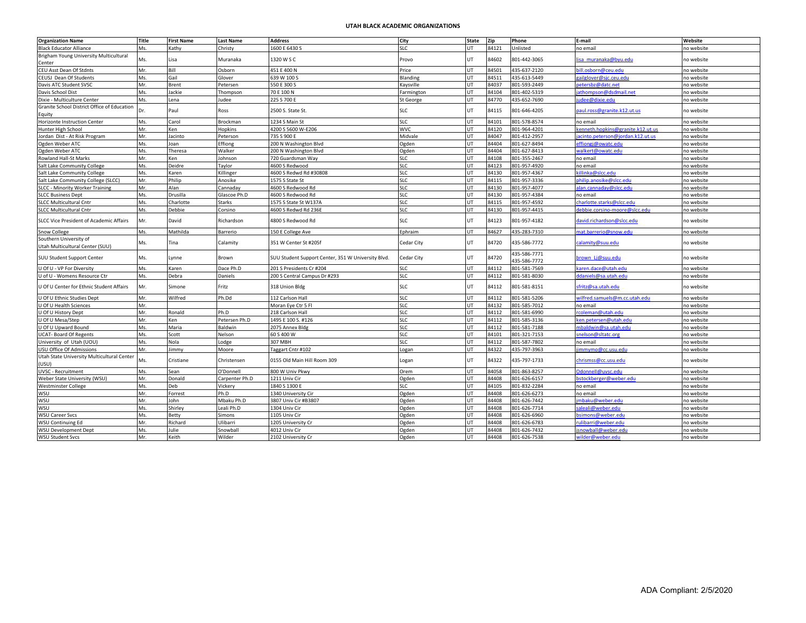## **UTAH BLACK ACADEMIC ORGANIZATIONS**

| <b>Organization Name</b>                              | Title | <b>First Name</b> | <b>Last Name</b> | <b>Address</b>                                     | City       | <b>State</b> | Zip   | Phone                        | E-mail                            | Website    |
|-------------------------------------------------------|-------|-------------------|------------------|----------------------------------------------------|------------|--------------|-------|------------------------------|-----------------------------------|------------|
| <b>Black Educator Alliance</b>                        | Ms.   | Kathy             | Christy          | 1600 E 6430 S                                      | <b>SLC</b> | UT           | 84121 | Unlisted                     | no email                          | no website |
| Brigham Young University Multicultural<br>Center      | Ms.   | Lisa              | Muranaka         | 1320 W S C                                         | Provo      | <b>UT</b>    | 84602 | 801-442-3065                 | sa muranaka@byu.edu               | no website |
| CEU Asst Dean Of Stdnts                               | Mr.   | Bill              | Osborn           | 451 E 400 N                                        | Price      | UT           | 84501 | 435-637-2120                 | vill.osborn@ceu.edu               | o website  |
| CEUSJ Dean Of Students                                | Ms.   | Gail              | Glover           | 639 W 100 S                                        | Blanding   | <b>UT</b>    | 84511 | 435-613-5449                 | tailglover@sic.ceu.edu            | no website |
| Davis ATC Student SVSC                                | Mr.   | Brent             | Petersen         | 550 E 300 S                                        | Kaysville  | UT           | 84037 | 801-593-2449                 | etersbz@datc.net                  | no website |
| Davis School Dist                                     | Ms.   | Jackie            | Thompson         | 70 E 100 N                                         | armington  | UT           | 84104 | 801-402-5319                 | athompson@dsdmail.net             | no website |
| Dixie - Multiculture Center                           | Ms.   | Lena              | Judee            | 225 S 700 E                                        | St George  | UT           | 84770 | 435-652-7690                 | udee@dixie.edu                    | no website |
| Granite School District Office of Education<br>Equity | Dr.   | Paul              | Ross             | 2500 S. State St.                                  | SLC        | UT           | 84115 | 801-646-4205                 | aul.ross@granite.k12.ut.us        | no website |
| Horizonte Instruction Center                          | Ms.   | Carol             | Brockman         | 1234 S Main St                                     | <b>SLC</b> | UT           | 84101 | 801-578-8574                 | no email                          | no website |
| Hunter High School                                    | Mr.   | Ken               | Hopkins          | 4200 S 5600 W-E206                                 | <b>WVC</b> | UT           | 84120 | 801-964-4201                 | cenneth.hopkins@granite.k12.ut.u  | no website |
| Jordan Dist - At Risk Program                         | Mr.   | Jacinto           | Peterson         | 735 S 900 E                                        | Midvale    | UT           | 84047 | 801-412-2957                 | iacinto.peterson@iordan.k12.ut.us | no website |
| Ogden Weber ATC                                       | Ms.   | Joan              | Effiong          | 200 N Washington Blvd                              | Ogden      | UT           | 84404 | 801-627-8494                 | effiongi@owatc.edu                | no website |
| Ogden Weber ATC                                       | Ms.   | Theresa           | Walker           | 200 N Washington Blvd                              | Ogden      | UT           | 84404 | 801-627-8413                 | valkert@owatc.edu                 | no website |
| Rowland Hall-St Marks                                 | Mr.   | Ken               | Johnson          | 720 Guardsman Way                                  | SLC        | UT           | 84108 | 801-355-2467                 | no email                          | no website |
| Salt Lake Community College                           | Ms.   | Deidre            | Taylor           | 4600 S Redwood                                     | <b>SLC</b> | UT           | 84123 | 801-957-4920                 | no email                          | no website |
| Salt Lake Community College                           | Ms.   | Karen             | Killinger        | 4600 S Redwd Rd #30808                             | <b>SLC</b> | UT           | 84130 | 801-957-4367                 | dllinka@slcc.edu                  | no website |
| Salt Lake Community College (SLCC)                    | Mr.   | Philip            | Anosike          | 1575 S State St                                    | <b>SLC</b> | UT           | 84115 | 801-957-3336                 | ohilin, anosike@slcc.edu          | no website |
| SLCC - Minority Worker Training                       | Mr.   | Alan              | Cannaday         | 4600 S Redwood Rd                                  | <b>SLC</b> | <b>UT</b>    | 84130 | 801-957-4077                 | alan.cannaday@slcc.edu            | no website |
| <b>SLCC Business Dept</b>                             | Ms.   | Drusilla          | Glascoe Ph.D     | 4600 S Redwood Rd                                  | <b>SLC</b> | UT           | 84130 | 801-957-4384                 | no email                          | no website |
| <b>SLCC Multicultural Cntr</b>                        | Ms.   | Charlotte         | Starks           | 1575 S State St W137A                              | <b>SLC</b> | UT           | 84115 | 801-957-4592                 | charlotte.starks@slcc.edu         | no website |
| <b>SLCC Multicultural Cntr</b>                        | Ms.   | Debbie            | Corsino          | 1600 S Redwd Rd 236E                               | <b>SLC</b> | UT           | 84130 | 801-957-4415                 | debbie.corsino-moore@slcc.edu     | no website |
| SLCC Vice President of Academic Affairs               | Mr.   | David             | Richardson       | 4800 S Redwood Rd                                  | <b>SLC</b> | <b>UT</b>    | 84123 | 801-957-4182                 | david.richardson@slcc.edu         | no website |
| Snow College                                          | Ms.   | Mathilda          | Barrerio         | 150 E College Ave                                  | Ephraim    | UT           | 84627 | 435-283-7310                 | nat.barrerio@snow.edu             | no website |
| Southern University of                                |       |                   |                  |                                                    |            |              |       |                              |                                   |            |
| Utah Multicultural Center (SUU)                       | Ms.   | Tina              | Calamity         | 351 W Center St #205f                              | Cedar City | UT.          | 84720 | 135-586-7772                 | alamity@suu.edu                   | no website |
| <b>SUU Student Support Center</b>                     | Ms.   | Lynne             | Brown            | SUU Student Support Center, 351 W University Blvd. | Cedar City | <b>UT</b>    | 84720 | 435-586-7771<br>435-586-7772 | brown_Lj@suu.edu                  | no website |
| U Of U - VP For Diversity                             | Ms.   | Karen             | Dace Ph.D        | 201 S Presidents Cr #204                           | <b>SLC</b> | UT           | 84112 | 801-581-7569                 | karen.dace@utah.edu               | no website |
| U of U - Womens Resource Ctr                          | Ms.   | Debra             | Daniels          | 200 S Central Campus Dr #293                       | <b>SLC</b> | UT           | 84112 | 801-581-8030                 | daniels@sa.utah.edu               | no website |
| U Of U Center for Ethnic Student Affairs              | Mr.   | Simone            | Fritz            | 318 Union Bldg                                     | SLC        | UT           | 84112 | 801-581-8151                 | sfritz@sa.utah.edu                | no website |
| U Of U Ethnic Studies Dept                            | Mr.   | Wilfred           | Ph.Dd            | 112 Carlson Hall                                   | <b>SLC</b> | UT           | 84112 | 801-581-5206                 | wilfred.samuels@m.cc.utah.edu     | no website |
| U Of U Health Sciences                                | Mr.   |                   |                  | Moran Eye Ctr 5 Fl                                 | <b>SLC</b> | UT           | 84132 | 801-585-7012                 | no email                          | no website |
| U Of U History Dept                                   | Mr.   | Ronald            | Ph.D             | 218 Carlson Hall                                   | <b>SLC</b> | UT           | 84112 | 801-581-6990                 | rcoleman@utah.edu                 | no website |
| U Of U Mesa/Step                                      | Mr.   | Ken               | Petersen Ph.D    | 1495 E 100 S. #126                                 | <b>SLC</b> | UT           | 84112 | 801-585-3136                 | cen.petersen@utah.edu             | no website |
| U Of U Upward Bound                                   | Ms.   | Maria             | Baldwin          | 2075 Annex Bldg                                    | <b>SLC</b> | UT           | 84112 | 801-581-7188                 | nbaldwin@sa.utah.edu              | no website |
| <b>UCAT- Board Of Regents</b>                         | Ms.   | Scott             | Nelson           | 60 S 400 W                                         | <b>SLC</b> | UT           | 84101 | 801-321-7153                 | snelson@sltatc.org                | no website |
| University of Utah (UOU)                              | Ms.   | Nola              | Lodge            | 307 MBH                                            | SLC.       | <b>UT</b>    | 84112 | 801-587-7802                 | no email                          | no website |
| USU Office Of Admissions                              | Mr.   | Jimmy             | Moore            | Taggart Cntr #102                                  | ogan       | UT           | 84322 | 435-797-3963                 | immymo@cc.usu.edu                 | no website |
| Utah State University Multicultural Center<br>USU)    | Ms.   | Cristiane         | Christensen      | 0155 Old Main Hill Room 309                        | Logan      | <b>UT</b>    | 84322 | 435-797-1733                 | chrismss@cc.usu.edu               | no website |
| <b>UVSC - Recruitment</b>                             | Ms.   | Sean              | O'Donnell        | 800 W Univ Pkwy                                    | Orem       | <b>UT</b>    | 84058 | 801-863-8257                 | Odonnell@uvsc.edu                 | no website |
| Weber State University (WSU)                          | Mr.   | Donald            | Carpenter Ph.D   | 1211 Univ Cir                                      | Ogden      | UT           | 84408 | 801-626-6157                 | ostockberger@weber.edu            | no website |
| <b>Westminster College</b>                            | Ms.   | Deb               | Vickery          | 1840 S 1300 E                                      | <b>SLC</b> | UT           | 84105 | 801-832-2284                 | no email                          | no website |
| WSU                                                   | Mr.   | Forrest           | Ph.D             | 1340 University Cir                                | Ogden      | <b>UT</b>    | 84408 | 801-626-6273                 | no email                          | no website |
| WSU                                                   | Mr.   | John              | Mbaku Ph.D       | 3807 Univ Cir #B3807                               | Ogden      | UT           | 84408 | 801-626-7442                 | mbaku@weber.edu                   | no website |
| WSU                                                   | Ms.   | Shirley           | Leali Ph.D       | 1304 Univ Cir                                      | Ogden      | UT           | 84408 | 801-626-7714                 | aleali@weber.edu                  | no website |
| <b>WSU Career Svcs</b>                                | Ms.   | Betty             | Simons           | 1105 Univ Cir                                      | Ogden      | UT           | 84408 | 801-626-6960                 | osimons@weber.edu                 | no website |
| <b>WSU Continuing Ed</b>                              | Mr.   | Richard           | Ulibarri         | 1205 University Cr                                 | Ogden      | <b>UT</b>    | 84408 | 801-626-6783                 | ulibarri@weber.edu                | no website |
| <b>WSU Development Dept</b>                           | Ms.   | Julie             | Snowball         | 4012 Univ Cir                                      | Ogden      | UT           | 84408 | 801-626-7432                 | nowball@weber.edu                 | no website |
| <b>WSU Student Svcs</b>                               | Mr.   | Keith             | Wilder           | 2102 University Cr                                 | Ogden      | UT           | 84408 | 801-626-7538                 | wilder@weber.edu                  | no website |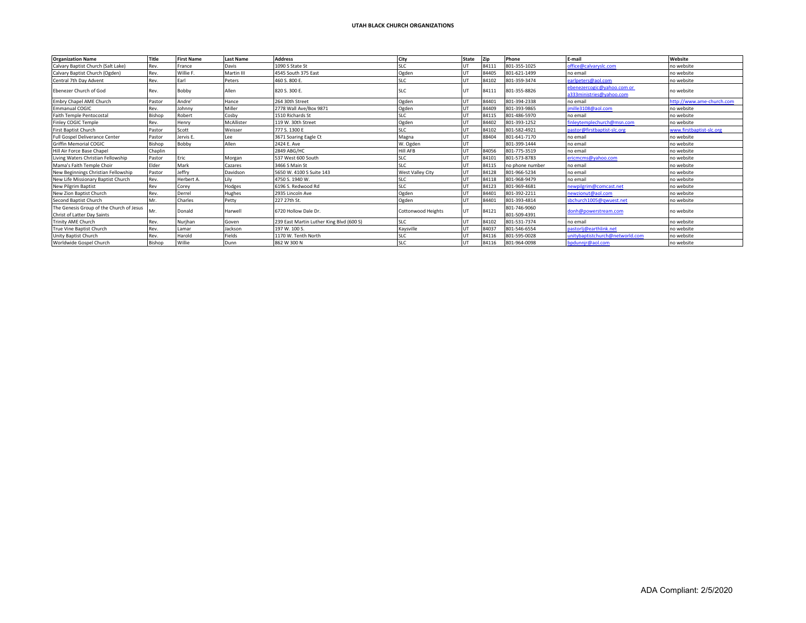| <b>Organization Name</b>                 | Title   | <b>First Name</b> | <b>Last Name</b> | <b>Address</b>                           | City                      | State | Zip   | Phone           | E-mail                                                 | Website                   |
|------------------------------------------|---------|-------------------|------------------|------------------------------------------|---------------------------|-------|-------|-----------------|--------------------------------------------------------|---------------------------|
| Calvary Baptist Church (Salt Lake)       | Rev.    | France            | Davis            | 1090 S State St                          | <b>SLC</b>                |       | 84111 | 801-355-1025    | office@calvaryslc.com                                  | no website                |
| Calvary Baptist Church (Ogden)           | Rev.    | Willie F.         | Martin III       | 4545 South 375 East                      | Ogden                     |       | 84405 | 801-621-1499    | no email                                               | no website                |
| Central 7th Day Advent                   | Rev.    | Farl              | Peters           | 460 S. 800 E.                            | SLC                       |       | 84102 | 801-359-3474    | earlpeters@aol.com                                     | no website                |
| Ebenezer Church of God                   | Rev.    | Bobby             | Allen            | 820 S. 300 E.                            | <b>SLC</b>                |       | 84111 | 801-355-8826    | ebenezercogic@yahoo.com or<br>a333ministries@yahoo.com | no website                |
| Embry Chapel AME Church                  | Pastor  | Andre'            | Hance            | 264 30th Street                          | Ogden                     |       | 84401 | 801-394-2338    | no email                                               | http://www.ame-church.com |
| <b>Emmanual COGIC</b>                    | Rev.    | Johnny            | Miller           | 2778 Wall Ave/Box 9871                   | Ogden                     |       | 84409 | 801-393-9865    | jmille3108@aol.com                                     | no website                |
| <b>Faith Temple Pentocostal</b>          | Bishop  | Robert            | Cosby            | 1510 Richards St                         | <b>SLC</b>                |       | 84115 | 801-486-5970    | no email                                               | no website                |
| Finley COGIC Temple                      | Rev.    | Henry             | McAllister       | 119 W. 30th Street                       | Ogden                     |       | 84402 | 801-393-1252    | finlevtemplechurch@msn.com                             | no website                |
| First Baptist Church                     | Pastor  | Scott             | Weisser          | 777 S. 1300 E                            | <b>SLC</b>                |       | 84102 | 801-582-4921    | pastor@firstbaptist-slc.org                            | www.firstbaptist-slc.org  |
| Full Gospel Deliverance Center           | Pastor  | Jervis E.         | Lee              | 3671 Soaring Eagle Ct                    | Magna                     |       | 88404 | 801-641-7170    | no email                                               | no website                |
| <b>Griffin Memorial COGIC</b>            | Bishop  | Bobby             | Allen            | 2424 E. Ave                              | W. Ogden                  |       |       | 801-399-1444    | no email                                               | no website                |
| Hill Air Force Base Chapel               | Chaplin |                   |                  | 2849 ABG/HC                              | <b>Hill AFB</b>           |       | 84056 | 801-775-3519    | no email                                               | no website                |
| Living Waters Christian Fellowship       | Pastor  | Eric              | Morgan           | 537 West 600 South                       | SLC                       |       | 84101 | 801-573-8783    | ericmcms@vahoo.com                                     | no website                |
| Mama's Faith Temple Choir                | Elder   | Mark              | Cazares          | 3466 S Main St                           | <b>SLC</b>                |       | 84115 | no phone number | no email                                               | no website                |
| New Beginnings Christian Fellowship      | Pastor  | Jeffry            | Davidson         | 5650 W. 4100 S Suite 143                 | West Valley City          |       | 84128 | 801-966-5234    | no email                                               | no website                |
| New Life Missionary Baptist Church       | Rev.    | Herbert A.        |                  | 4750 S. 1940 W.                          | <b>SLC</b>                |       | 84118 | 801-968-9479    | no email                                               | no website                |
| <b>New Pilgrim Baptist</b>               | Rev     | Corev             | Hodges           | 5196 S. Redwood Rd                       | <b>SLC</b>                |       | 84123 | 801-969-4681    | newpilgrim@comcast.net                                 | no website                |
| New Zion Baptist Church                  | Rev.    | Derrel            | Hughes           | 2935 Lincoln Ave                         | Ogden                     |       | 84401 | 801-392-2211    | newzionut@aol.com                                      | no website                |
| Second Baptist Church                    | Mr.     | Charles           | Petty            | 227 27th St.                             | Ogden                     |       | 8440  | 801-393-4814    | sbchurch1005@qwuest.net                                | no website                |
| The Genesis Group of the Church of Jesus | Mr.     | Donald            | Harwell          |                                          |                           | UT    | 84121 | 801-746-9060    | donh@powerstream.com                                   | no website                |
| Christ of Latter Day Saints              |         |                   |                  | 6720 Hollow Dale Dr.                     | <b>Cottonwood Heights</b> |       |       | 801-509-4391    |                                                        |                           |
| <b>Trinity AME Church</b>                | Rev.    | Nurjhan           | Goven            | 239 East Martin Luther King Blvd (600 S) | SLC                       |       | 84102 | 801-531-7374    | no email                                               | no website                |
| True Vine Baptist Church                 | Rev.    | Lamar             | Jackson          | 197 W. 100 S.                            | Kaysville                 |       | 84037 | 801-546-6554    | pastorlj@earthlink.net                                 | no website                |
| Unity Baptist Church                     | Rev.    | Harold            | Fields           | 1170 W. Tenth North                      | <b>SLC</b>                |       | 84116 | 801-595-0028    | unitybaptistchurch@networld.com                        | no website                |
| Worldwide Gospel Church                  | Bishop  | Willie            | Dunn             | 862 W 300 N                              | <b>SLC</b>                |       | 84116 | 801-964-0098    | bpdunnjr@aol.com                                       | no website                |